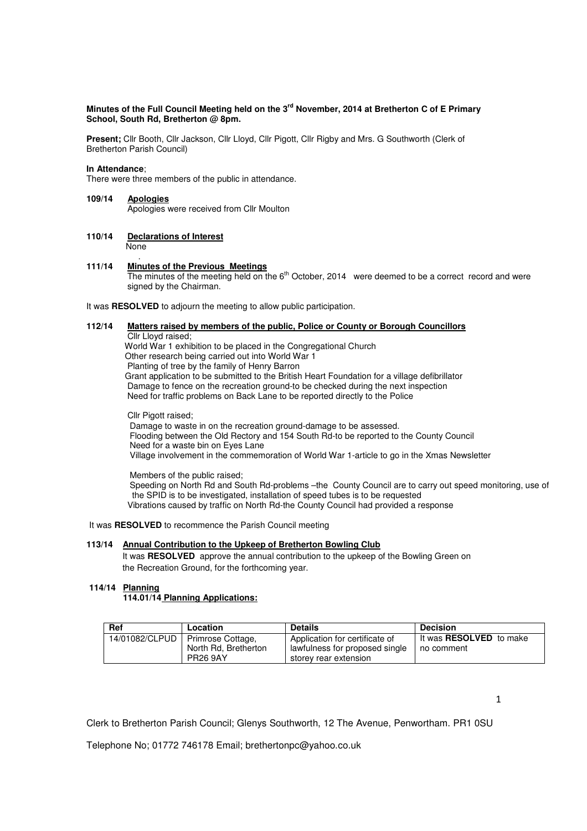# **Minutes of the Full Council Meeting held on the 3rd November, 2014 at Bretherton C of E Primary School, South Rd, Bretherton @ 8pm.**

**Present;** Cllr Booth, Cllr Jackson, Cllr Lloyd, Cllr Pigott, Cllr Rigby and Mrs. G Southworth (Clerk of Bretherton Parish Council)

## **In Attendance**;

There were three members of the public in attendance.

#### **109/14 Apologies**

Apologies were received from Cllr Moulton

#### **110/14 Declarations of Interest** None

.

# **111/14 Minutes of the Previous Meetings**

The minutes of the meeting held on the 6<sup>th</sup> October, 2014 were deemed to be a correct record and were signed by the Chairman.

It was **RESOLVED** to adjourn the meeting to allow public participation.

# **112/14 Matters raised by members of the public, Police or County or Borough Councillors**

 Cllr Lloyd raised; World War 1 exhibition to be placed in the Congregational Church Other research being carried out into World War 1

Planting of tree by the family of Henry Barron

Grant application to be submitted to the British Heart Foundation for a village defibrillator

Damage to fence on the recreation ground-to be checked during the next inspection

Need for traffic problems on Back Lane to be reported directly to the Police

 Cllr Pigott raised; Damage to waste in on the recreation ground-damage to be assessed. Flooding between the Old Rectory and 154 South Rd-to be reported to the County Council Need for a waste bin on Eyes Lane

Village involvement in the commemoration of World War 1-article to go in the Xmas Newsletter

 Members of the public raised; Speeding on North Rd and South Rd-problems –the County Council are to carry out speed monitoring, use of the SPID is to be investigated, installation of speed tubes is to be requested Vibrations caused by traffic on North Rd-the County Council had provided a response

It was **RESOLVED** to recommence the Parish Council meeting

# **113/14 Annual Contribution to the Upkeep of Bretherton Bowling Club**

It was RESOLVED approve the annual contribution to the upkeep of the Bowling Green on the Recreation Ground, for the forthcoming year.

# **114/14 Planning**

# **114.01/14 Planning Applications:**

| Ref | Location                                                                      | <b>Details</b>                                                                            | <b>Decision</b>                              |
|-----|-------------------------------------------------------------------------------|-------------------------------------------------------------------------------------------|----------------------------------------------|
|     | 14/01082/CLPUD   Primrose Cottage,<br>North Rd. Bretherton<br><b>PR26 9AY</b> | Application for certificate of<br>lawfulness for proposed single<br>storey rear extension | It was <b>RESOLVED</b> to make<br>no comment |

1

Clerk to Bretherton Parish Council; Glenys Southworth, 12 The Avenue, Penwortham. PR1 0SU

Telephone No; 01772 746178 Email; brethertonpc@yahoo.co.uk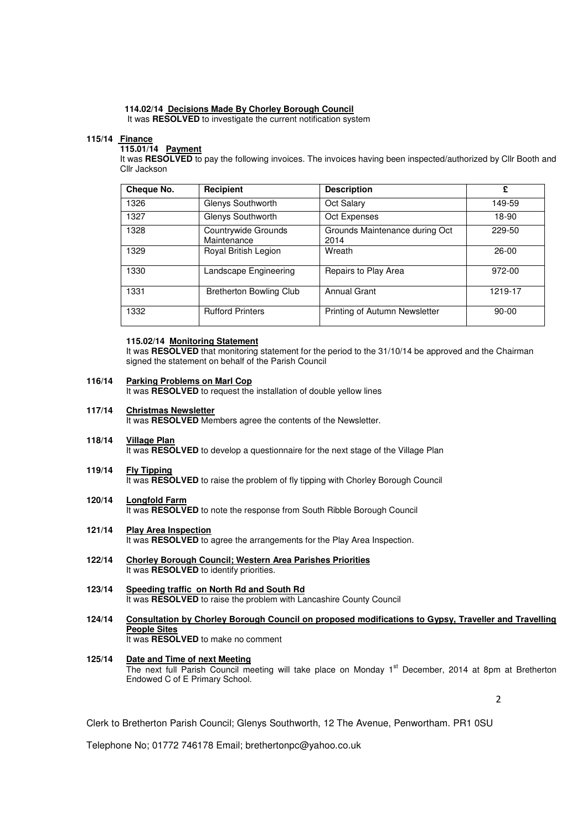# **114.02/14 Decisions Made By Chorley Borough Council**

It was **RESOLVED** to investigate the current notification system

## **115/14 Finance**

# **115.01/14 Payment**

 It was **RESOLVED** to pay the following invoices. The invoices having been inspected/authorized by Cllr Booth and Cllr Jackson

| Cheque No. | Recipient                          | <b>Description</b>                     | £         |
|------------|------------------------------------|----------------------------------------|-----------|
| 1326       | Glenys Southworth                  | Oct Salary                             | 149-59    |
| 1327       | Glenys Southworth                  | Oct Expenses                           | 18-90     |
| 1328       | Countrywide Grounds<br>Maintenance | Grounds Maintenance during Oct<br>2014 | 229-50    |
| 1329       | Royal British Legion               | Wreath                                 | $26-00$   |
| 1330       | Landscape Engineering              | Repairs to Play Area                   | 972-00    |
| 1331       | <b>Bretherton Bowling Club</b>     | <b>Annual Grant</b>                    | 1219-17   |
| 1332       | <b>Rufford Printers</b>            | Printing of Autumn Newsletter          | $90 - 00$ |

# **115.02/14 Monitoring Statement**

It was RESOLVED that monitoring statement for the period to the 31/10/14 be approved and the Chairman signed the statement on behalf of the Parish Council

#### **116/14 Parking Problems on Marl Cop**

It was **RESOLVED** to request the installation of double yellow lines

#### **117/14 Christmas Newsletter**

It was **RESOLVED** Members agree the contents of the Newsletter.

- **118/14 Village Plan** It was **RESOLVED** to develop a questionnaire for the next stage of the Village Plan
- **119/14 Fly Tipping** It was **RESOLVED** to raise the problem of fly tipping with Chorley Borough Council
- **120/14 Longfold Farm** It was **RESOLVED** to note the response from South Ribble Borough Council
- **121/14 Play Area Inspection** It was **RESOLVED** to agree the arrangements for the Play Area Inspection.
- **122/14 Chorley Borough Council; Western Area Parishes Priorities** It was **RESOLVED** to identify priorities.
- **123/14 Speeding traffic on North Rd and South Rd** It was **RESOLVED** to raise the problem with Lancashire County Council
- **124/14 Consultation by Chorley Borough Council on proposed modifications to Gypsy, Traveller and Travelling People Sites** It was **RESOLVED** to make no comment
- **125/14 Date and Time of next Meeting** The next full Parish Council meeting will take place on Monday 1<sup>st</sup> December, 2014 at 8pm at Bretherton Endowed C of E Primary School.

 $\overline{\phantom{a}}$ 

Clerk to Bretherton Parish Council; Glenys Southworth, 12 The Avenue, Penwortham. PR1 0SU

Telephone No; 01772 746178 Email; brethertonpc@yahoo.co.uk